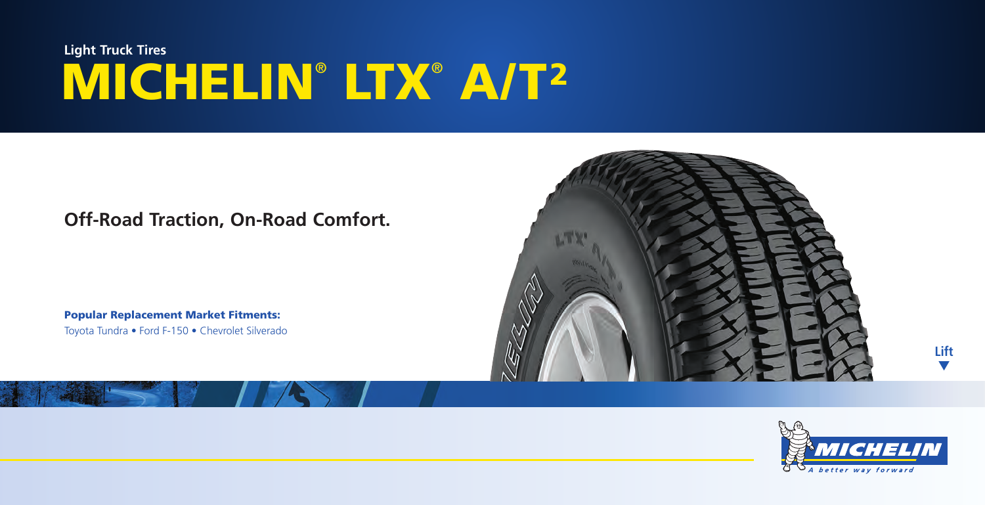# **MICHELIN**®  **LTX**®  **A/T2 Light Truck Tires**

### **Off-Road Traction, On-Road Comfort.**

**Popular Replacement Market Fitments:** Toyota Tundra • Ford F-150 • Chevrolet Silverado





**Lift** ▼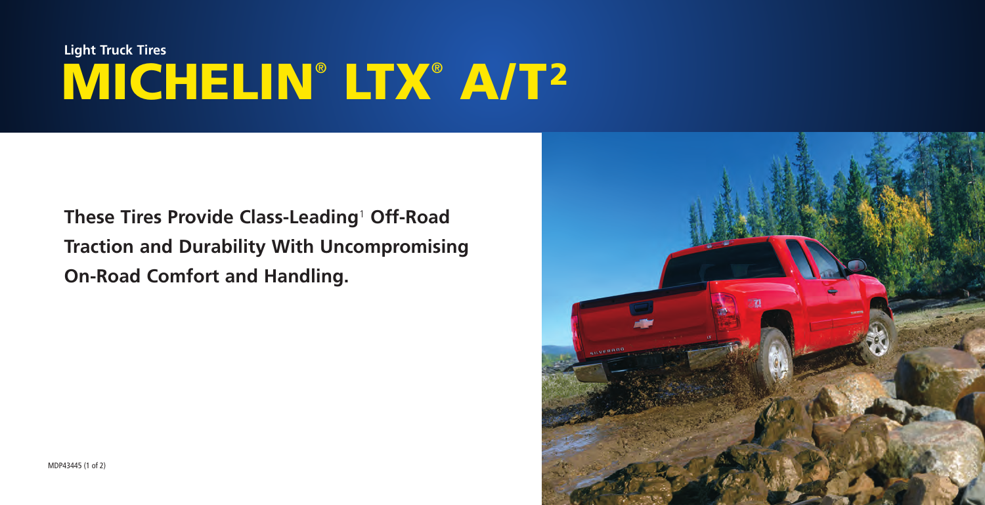## **MICHELIN**®  **LTX**®  **A/T2 Light Truck Tires**

**These Tires Provide Class-Leading**<sup>1</sup>  **Off-Road Traction and Durability With Uncompromising On-Road Comfort and Handling.**

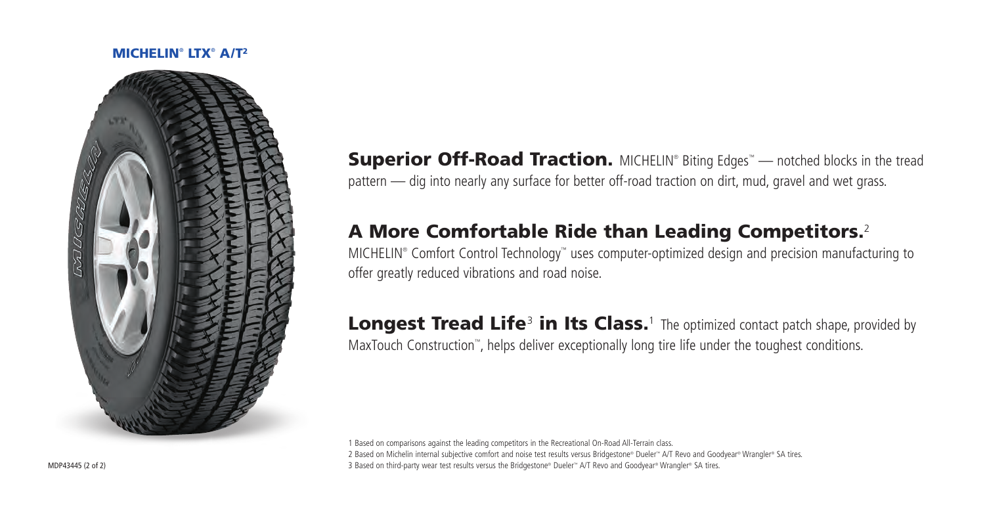#### **MICHELIN**®  **LTX**®  **A/T2**



**Superior Off-Road Traction.** MICHELIN® Biting Edges<sup>™</sup> — notched blocks in the tread pattern — dig into nearly any surface for better off-road traction on dirt, mud, gravel and wet grass.

## **A More Comfortable Ride than Leading Competitors.**<sup>2</sup>

MICHELIN® Comfort Control Technology™ uses computer-optimized design and precision manufacturing to offer greatly reduced vibrations and road noise.

Longest Tread Life<sup>3</sup> in Its Class.<sup>1</sup> The optimized contact patch shape, provided by MaxTouch Construction™, helps deliver exceptionally long tire life under the toughest conditions.

1 Based on comparisons against the leading competitors in the Recreational On-Road All-Terrain class. 2 Based on Michelin internal subjective comfort and noise test results versus Bridgestone® Dueler™ A/T Revo and Goodyear® Wrangler® SA tires. 3 Based on third-party wear test results versus the Bridgestone® Dueler™ A/T Revo and Goodyear® Wrangler® SA tires.